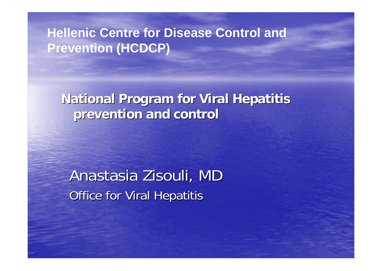#### **Hellenic Centre for Disease Control and Prevention (HCDCP)**

**National Program for Viral Hepatitis prevention and control prevention and control**

Anastasia Zisouli, MD **Office for Viral Hepatitis**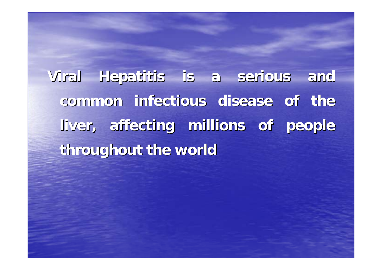**Viral Hepatitis is a serious and Viral Hepatitis is a serious and common infectious disease of the common infectious disease of the liver, affecting millions of people liver, affecting millions of people throughout the world throughout the world**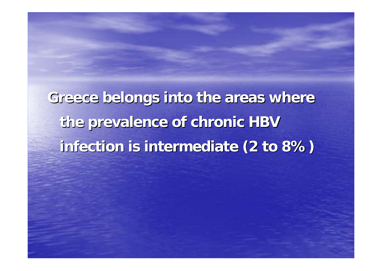**Greece belongs into the areas where Greece belongs into the areas where the prevalence of chronic HBV the prevalence of chronic HBV infection is intermediate (2 to 8%) infection is intermediate (2 to 8%)**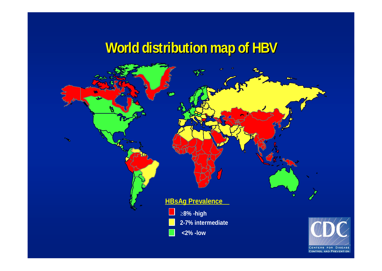### **World distribution map of HBV World distribution map of HBV**



CENTERS FOR DISEASE **CONTROL AND PREVENTION**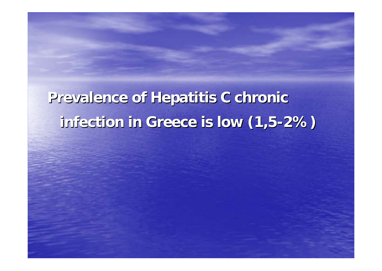# **Prevalence of Hepatitis C chronic Prevalence of Hepatitis C chronic infection in Greece is low (1,5 infection in Greece is low (1,5 -2%)**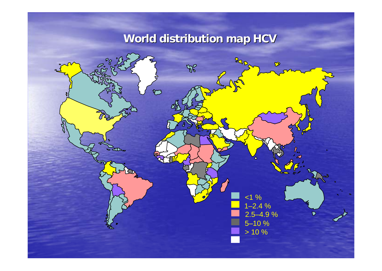#### **World distribution map HCV**

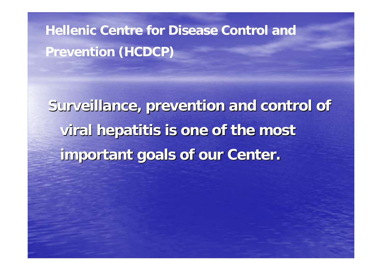**Hellenic Centre for Disease Control and Prevention (HCDCP)**

**Surveillance, prevention and control of viral hepatitis is one of the most viral hepatitis is one of the most important goals of our Center. important goals of our Center.**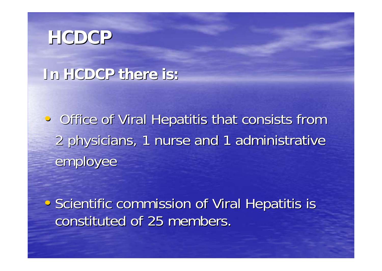### **HCDCP**

#### **In HCDCP there is: In HCDCP there is:**

• Office of Viral Hepatitis that consists from 2 physicians, 1 nurse and 1 administrative 2 physicians, 1 nurse and 1 administrative employee

• Scientific commission of Viral Hepatitis is constituted of 25 members.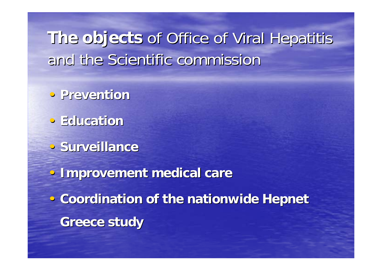**The objects The objects** of Office of Viral Hepatitis of Office of Viral Hepatitis and the Scientific commission

- •**Prevention Prevention**
- •**Education Education**
- **Surveillance**

•**Improvement medical care Improvement medical care • Coordination of the nationwide Hepnet Greece study Greece study**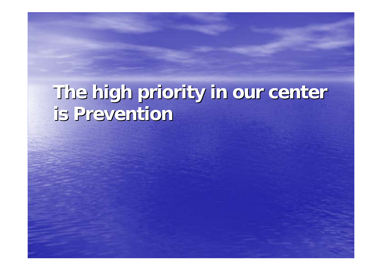# **The high priority in our center The high priority in our center is Prevention is Prevention**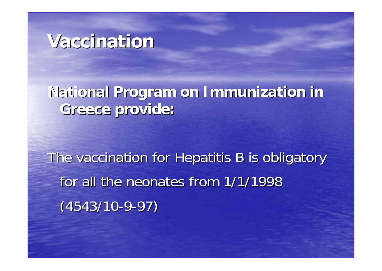### **Vaccination Vaccination**

#### **National Program on Immunization in Greece provide: Greece provide:**

The vaccination for Hepatitis B is obligatory for all the neonates from  $1/1/1998$ (4543/10-9-97)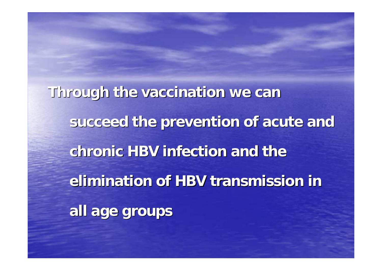**Through the vaccination we can Through the vaccination we can**  succeed the prevention of acute and **chronic HBV infection and the elimination of HBV transmission in all age groups all age groups**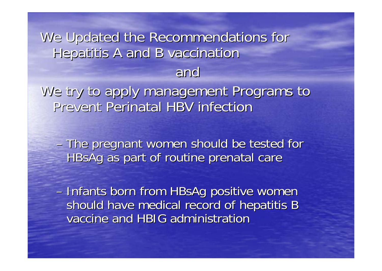### We Updated the Recommendations for Hepatitis A and B vaccination and

We try to apply management Programs to Prevent Perinatal HBV infection

–The pregnant women should be tested for The pregnant women should be tested for HBsAg as part of routine prenatal care

– Infants born from HBsAg positive women should have medical record of hepatitis B vaccine and HBIG administration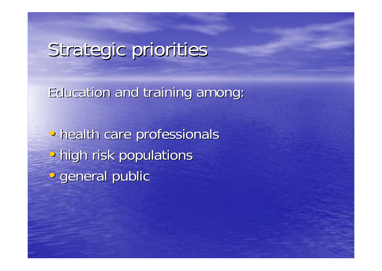# Strategic priorities

Education and training among:

• • health care professionals  $\overline{\mathbf{e}}$ • high risk populations • • general public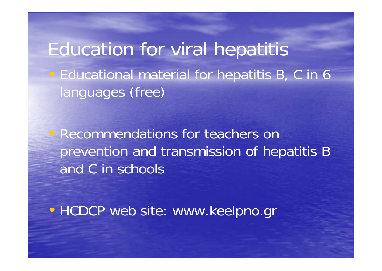Education for viral hepatitis • Educational material for hepatitis B, C in 6 languages (free)

• Recommendations for teachers on prevention and transmission of hepatitis B and C in schools

• HCDCP web site: www.keelpno.gr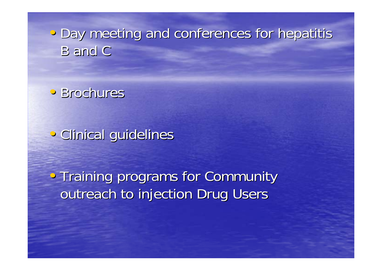• Day meeting and conferences for hepatitis **B** and C

• Brochures

• Clinical guidelines

• Training programs for Community outreach to injection Drug Users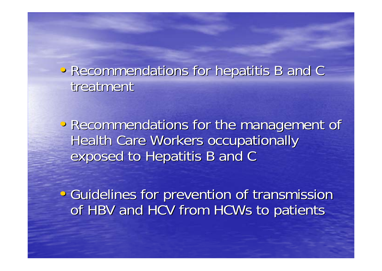• Recommendations for hepatitis B and C treatment

• Recommendations for the management of Health Care Workers occupationally exposed to Hepatitis B and C

• Guidelines for prevention of transmission of HBV and HCV from HCWs to patients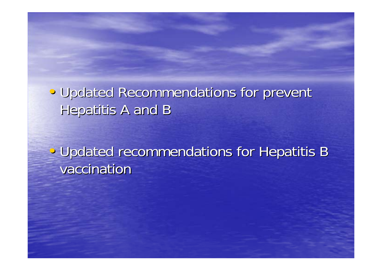#### • Updated Recommendations for prevent Hepatitis A and B

• Updated recommendations for Hepatitis B vaccination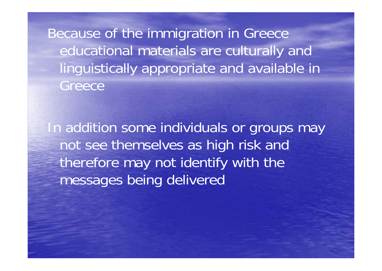Because of the immigration in Greece educational materials are culturally and linguistically appropriate and available in Greece

In addition some individuals or groups may not see themselves as high risk and therefore may not identify with the messages being delivered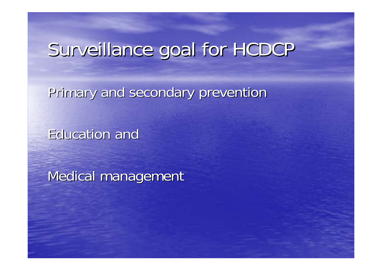## Surveillance goal for HCDCP

Primary and secondary prevention

**Education and** 

Medical management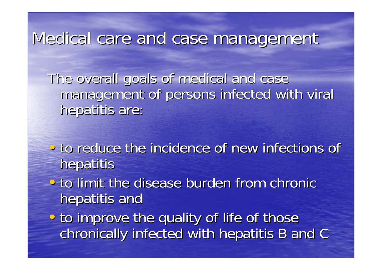Medical care and case management

The overall goals of medical and case management of persons infected with viral hepatitis are:

- $\bullet$ • to reduce the incidence of new infections of hepatitis
- $\bullet$ • to limit the disease burden from chronic hepatitis and
- • • to improve the quality of life of those chronically infected with hepatitis B and C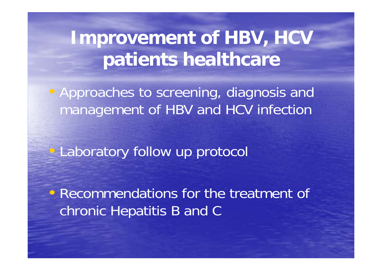**Improvement of HBV, HCV patients healthcare**

• Approaches to screening, diagnosis and management of HBV and HCV infection

Laboratory follow up protocol

• Recommendations for the treatment of chronic Hepatitis B and C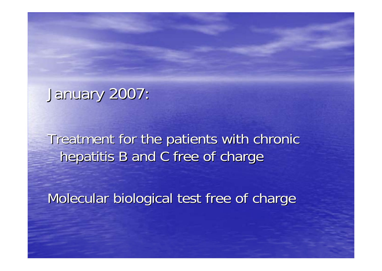January 2007: January 2007:

Treatment for the patients with chronic hepatitis B and C free of charge

Molecular biological test free of charge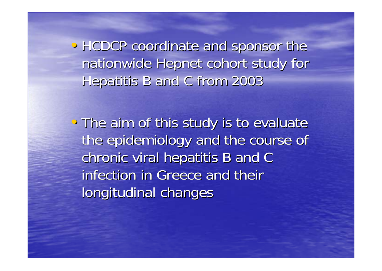• HCDCP coordinate and sponsor the nationwide Hepnet cohort study for Hepatitis B and C from 2003 Hepatitis B and C from 2003

• The aim of this study is to evaluate the epidemiology and the course of chronic viral hepatitis B and C infection in Greece and their longitudinal changes